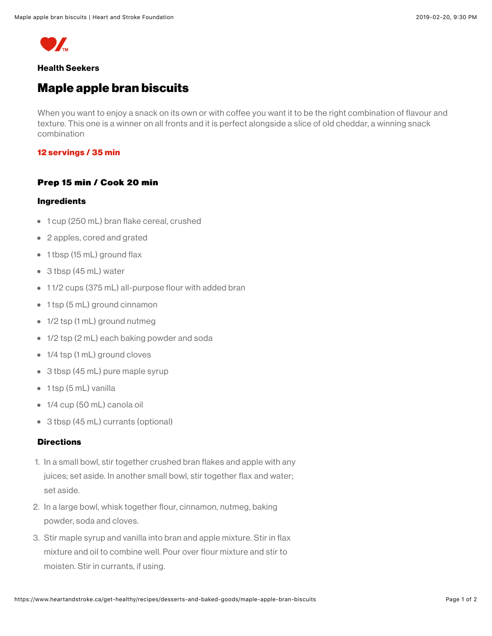

## **Health Seekers**

# **Maple apple bran biscuits**

When you want to enjoy a snack on its own or with coffee you want it to be the right combination of flavour and texture. This one is a winner on all fronts and it is perfect alongside a slice of old cheddar, a winning snack combination

### 12 servings / 35 min

#### Prep 15 min / Cook 20 min

#### **Ingredients**

- 1 cup (250 mL) bran flake cereal, crushed
- 2 apples, cored and grated
- 1 tbsp (15 mL) ground flax
- $\bullet$  3 tbsp (45 mL) water
- 11/2 cups (375 mL) all-purpose flour with added bran
- 1 tsp (5 mL) ground cinnamon
- $\bullet$  1/2 tsp (1 mL) ground nutmeg
- 1/2 tsp (2 mL) each baking powder and soda
- $\bullet$  1/4 tsp (1 mL) ground cloves
- 3 tbsp (45 mL) pure maple syrup
- $\bullet$  1 tsp (5 mL) vanilla
- $\bullet$  1/4 cup (50 mL) canola oil
- 3 tbsp (45 mL) currants (optional)

### **Directions**

- 1. In a small bowl, stir together crushed bran flakes and apple with any juices; set aside. In another small bowl, stir together flax and water; set aside.
- 2. In a large bowl, whisk together flour, cinnamon, nutmeg, baking powder, soda and cloves.
- 3. Stir maple syrup and vanilla into bran and apple mixture. Stir in flax mixture and oil to combine well. Pour over flour mixture and stir to moisten. Stir in currants, if using.